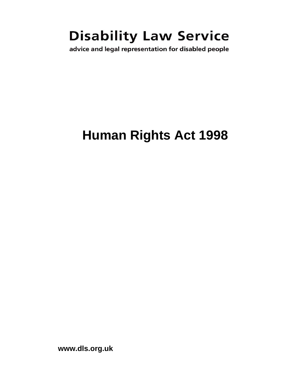# **Disability Law Service**

advice and legal representation for disabled people

# **Human Rights Act 1998**

**www.dls.org.uk**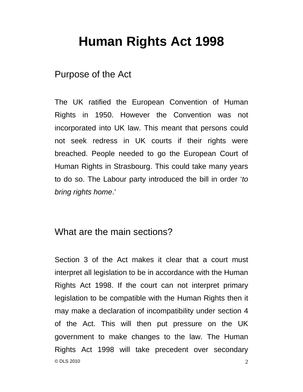## **Human Rights Act 1998**

### Purpose of the Act

The UK ratified the European Convention of Human Rights in 1950. However the Convention was not incorporated into UK law. This meant that persons could not seek redress in UK courts if their rights were breached. People needed to go the European Court of Human Rights in Strasbourg. This could take many years to do so. The Labour party introduced the bill in order '*to bring rights home*.'

## What are the main sections?

© DLS 2010  $2$ Section 3 of the Act makes it clear that a court must interpret all legislation to be in accordance with the Human Rights Act 1998. If the court can not interpret primary legislation to be compatible with the Human Rights then it may make a declaration of incompatibility under section 4 of the Act. This will then put pressure on the UK government to make changes to the law. The Human Rights Act 1998 will take precedent over secondary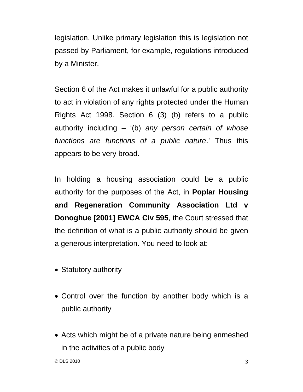legislation. Unlike primary legislation this is legislation not passed by Parliament, for example, regulations introduced by a Minister.

Section 6 of the Act makes it unlawful for a public authority to act in violation of any rights protected under the Human Rights Act 1998. Section 6 (3) (b) refers to a public authority including – '(b) *any person certain of whose functions are functions of a public nature*.' Thus this appears to be very broad.

In holding a housing association could be a public authority for the purposes of the Act, in **Poplar Housing and Regeneration Community Association Ltd v Donoghue [2001] EWCA Civ 595**, the Court stressed that the definition of what is a public authority should be given a generous interpretation. You need to look at:

- Statutory authority
- Control over the function by another body which is a public authority
- Acts which might be of a private nature being enmeshed in the activities of a public body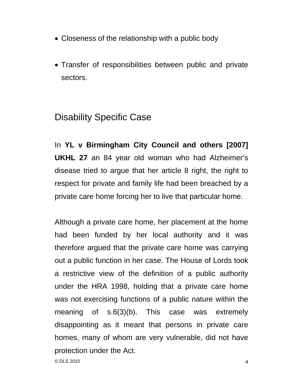- Closeness of the relationship with a public body
- Transfer of responsibilities between public and private sectors.

## Disability Specific Case

In **YL v Birmingham City Council and others [2007] UKHL 27** an 84 year old woman who had Alzheimer's disease tried to argue that her article 8 right, the right to respect for private and family life had been breached by a private care home forcing her to live that particular home.

Although a private care home, her placement at the home had been funded by her local authority and it was therefore argued that the private care home was carrying out a public function in her case. The House of Lords took a restrictive view of the definition of a public authority under the HRA 1998, holding that a private care home was not exercising functions of a public nature within the meaning of s.6(3)(b). This case was extremely disappointing as it meant that persons in private care homes, many of whom are very vulnerable, did not have protection under the Act.

 $\circledcirc$  DLS 2010 4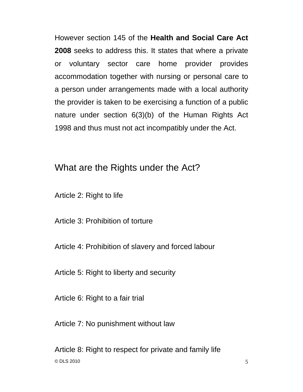However section 145 of the **Health and Social Care Act 2008** seeks to address this. It states that where a private or voluntary sector care home provider provides accommodation together with nursing or personal care to a person under arrangements made with a local authority the provider is taken to be exercising a function of a public nature under section 6(3)(b) of the Human Rights Act 1998 and thus must not act incompatibly under the Act.

### What are the Rights under the Act?

Article 2: Right to life

Article 3: Prohibition of torture

Article 4: Prohibition of slavery and forced labour

Article 5: Right to liberty and security

Article 6: Right to a fair trial

Article 7: No punishment without law

 $\odot$  DLS 2010  $\qquad \qquad$  5 Article 8: Right to respect for private and family life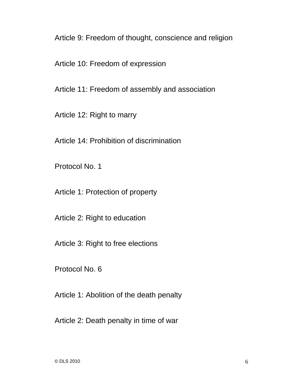Article 9: Freedom of thought, conscience and religion

Article 10: Freedom of expression

Article 11: Freedom of assembly and association

Article 12: Right to marry

Article 14: Prohibition of discrimination

Protocol No. 1

Article 1: Protection of property

Article 2: Right to education

Article 3: Right to free elections

Protocol No. 6

Article 1: Abolition of the death penalty

Article 2: Death penalty in time of war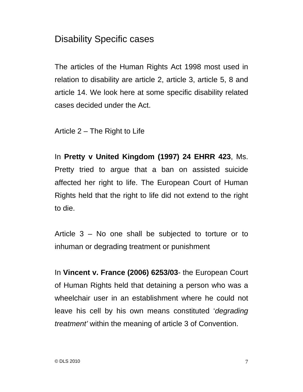## Disability Specific cases

The articles of the Human Rights Act 1998 most used in relation to disability are article 2, article 3, article 5, 8 and article 14. We look here at some specific disability related cases decided under the Act.

Article 2 – The Right to Life

In **Pretty v United Kingdom (1997) 24 EHRR 423**, Ms. Pretty tried to argue that a ban on assisted suicide affected her right to life. The European Court of Human Rights held that the right to life did not extend to the right to die.

Article 3 – No one shall be subjected to torture or to inhuman or degrading treatment or punishment

In **Vincent v. France (2006) 6253/03**- the European Court of Human Rights held that detaining a person who was a wheelchair user in an establishment where he could not leave his cell by his own means constituted '*degrading treatment'* within the meaning of article 3 of Convention.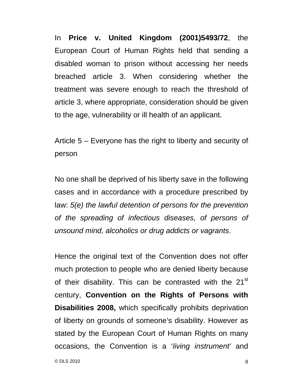In **Price v. United Kingdom (2001)5493/72**, the European Court of Human Rights held that sending a disabled woman to prison without accessing her needs breached article 3. When considering whether the treatment was severe enough to reach the threshold of article 3, where appropriate, consideration should be given to the age, vulnerability or ill health of an applicant.

Article 5 – Everyone has the right to liberty and security of person

No one shall be deprived of his liberty save in the following cases and in accordance with a procedure prescribed by law: *5(e) the lawful detention of persons for the prevention of the spreading of infectious diseases, of persons of unsound mind, alcoholics or drug addicts or vagrants*.

Hence the original text of the Convention does not offer much protection to people who are denied liberty because of their disability. This can be contrasted with the 21<sup>st</sup> century, **Convention on the Rights of Persons with Disabilities 2008,** which specifically prohibits deprivation of liberty on grounds of someone's disability. However as stated by the European Court of Human Rights on many occasions, the Convention is a '*living instrument'* and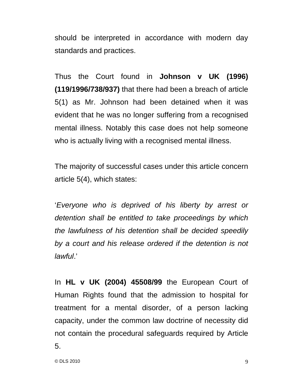should be interpreted in accordance with modern day standards and practices.

Thus the Court found in **Johnson v UK (1996) (119/1996/738/937)** that there had been a breach of article 5(1) as Mr. Johnson had been detained when it was evident that he was no longer suffering from a recognised mental illness. Notably this case does not help someone who is actually living with a recognised mental illness.

The majority of successful cases under this article concern article 5(4), which states:

'*Everyone who is deprived of his liberty by arrest or detention shall be entitled to take proceedings by which the lawfulness of his detention shall be decided speedily by a court and his release ordered if the detention is not lawful*.'

In **HL v UK (2004) 45508/99** the European Court of Human Rights found that the admission to hospital for treatment for a mental disorder, of a person lacking capacity, under the common law doctrine of necessity did not contain the procedural safeguards required by Article 5.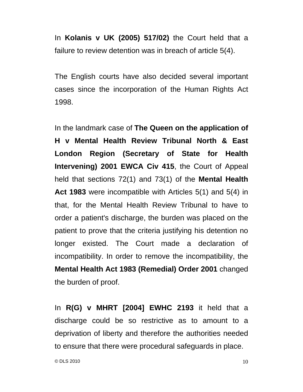In **Kolanis v UK (2005) 517/02)** the Court held that a failure to review detention was in breach of article 5(4).

The English courts have also decided several important cases since the incorporation of the Human Rights Act 1998.

In the landmark case of **The Queen on the application of H v Mental Health Review Tribunal North & East London Region (Secretary of State for Health Intervening) 2001 EWCA Civ 415**, the Court of Appeal held that sections 72(1) and 73(1) of the **Mental Health Act 1983** were incompatible with Articles 5(1) and 5(4) in that, for the Mental Health Review Tribunal to have to order a patient's discharge, the burden was placed on the patient to prove that the criteria justifying his detention no longer existed. The Court made a declaration of incompatibility. In order to remove the incompatibility, the **Mental Health Act 1983 (Remedial) Order 2001** changed the burden of proof.

In **R(G) v MHRT [2004] EWHC 2193** it held that a discharge could be so restrictive as to amount to a deprivation of liberty and therefore the authorities needed to ensure that there were procedural safeguards in place.

 $\odot$  DLS 2010  $10$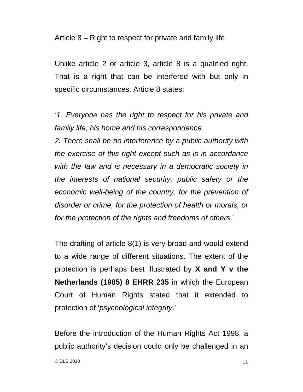Article 8 – Right to respect for private and family life

Unlike article 2 or article 3, article 8 is a qualified right. That is a right that can be interfered with but only in specific circumstances. Article 8 states:

*'1. Everyone has the right to respect for his private and family life, his home and his correspondence.* 

*2. There shall be no interference by a public authority with the exercise of this right except such as is in accordance with the law and is necessary in a democratic society in the interests of national security, public safety or the economic well-being of the country, for the prevention of disorder or crime, for the protection of health or morals, or for the protection of the rights and freedoms of others*.'

The drafting of article 8(1) is very broad and would extend to a wide range of different situations. The extent of the protection is perhaps best illustrated by **X and Y v the Netherlands (1985) 8 EHRR 235** in which the European Court of Human Rights stated that it extended to protection of '*psychological integrity*.'

 $\odot$  DLS 2010 11 Before the introduction of the Human Rights Act 1998, a public authority's decision could only be challenged in an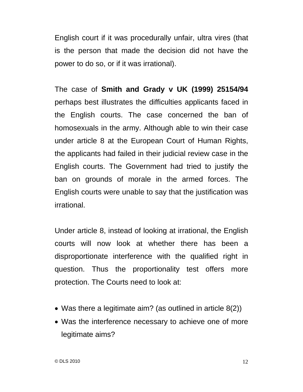English court if it was procedurally unfair, ultra vires (that is the person that made the decision did not have the power to do so, or if it was irrational).

The case of **Smith and Grady v UK (1999) 25154/94** perhaps best illustrates the difficulties applicants faced in the English courts. The case concerned the ban of homosexuals in the army. Although able to win their case under article 8 at the European Court of Human Rights, the applicants had failed in their judicial review case in the English courts. The Government had tried to justify the ban on grounds of morale in the armed forces. The English courts were unable to say that the justification was irrational.

Under article 8, instead of looking at irrational, the English courts will now look at whether there has been a disproportionate interference with the qualified right in question. Thus the proportionality test offers more protection. The Courts need to look at:

- Was there a legitimate aim? (as outlined in article 8(2))
- Was the interference necessary to achieve one of more legitimate aims?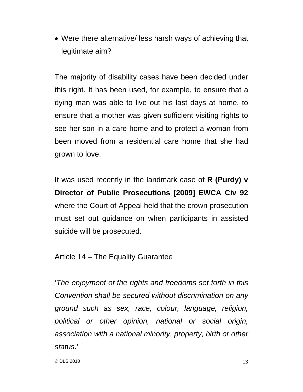• Were there alternative/ less harsh ways of achieving that legitimate aim?

The majority of disability cases have been decided under this right. It has been used, for example, to ensure that a dying man was able to live out his last days at home, to ensure that a mother was given sufficient visiting rights to see her son in a care home and to protect a woman from been moved from a residential care home that she had grown to love.

It was used recently in the landmark case of **R (Purdy) v Director of Public Prosecutions [2009] EWCA Civ 92** where the Court of Appeal held that the crown prosecution must set out guidance on when participants in assisted suicide will be prosecuted.

Article 14 – The Equality Guarantee

'*The enjoyment of the rights and freedoms set forth in this Convention shall be secured without discrimination on any ground such as sex, race, colour, language, religion, political or other opinion, national or social origin, association with a national minority, property, birth or other status*.'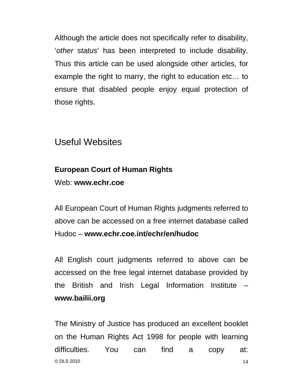Although the article does not specifically refer to disability, '*other status*' has been interpreted to include disability. Thus this article can be used alongside other articles, for example the right to marry, the right to education etc… to ensure that disabled people enjoy equal protection of those rights.

### Useful Websites

## **European Court of Human Rights**

Web: **www.echr.coe** 

All European Court of Human Rights judgments referred to above can be accessed on a free internet database called Hudoc – **www.echr.coe.int/echr/en/hudoc** 

All English court judgments referred to above can be accessed on the free legal internet database provided by the British and Irish Legal Information Institute – **www.bailii.org**

 $\odot$  DLS 2010 14 The Ministry of Justice has produced an excellent booklet on the Human Rights Act 1998 for people with learning difficulties. You can find a copy at: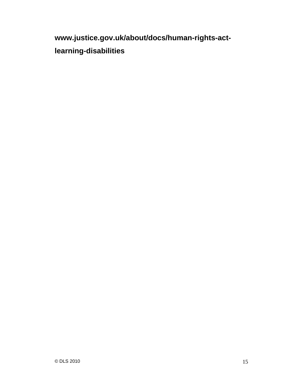**www.justice.gov.uk/about/docs/human-rights-actlearning-disabilities**